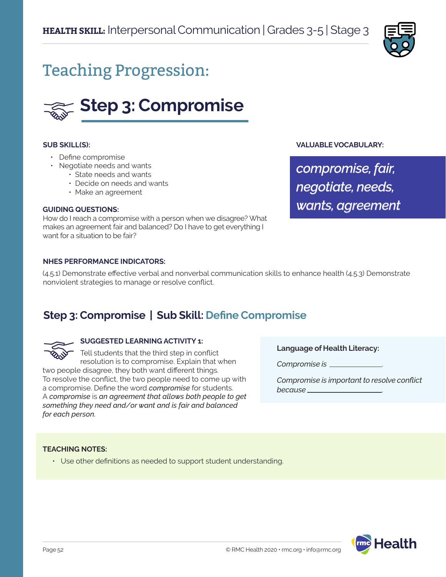

# Teaching Progression:



#### **SUB SKILL(S):**

- Define compromise
- Negotiate needs and wants
	- State needs and wants
	- Decide on needs and wants
	- Make an agreement

#### **GUIDING QUESTIONS:**

How do I reach a compromise with a person when we disagree? What makes an agreement fair and balanced? Do I have to get everything I want for a situation to be fair?

#### **NHES PERFORMANCE INDICATORS:**

(4.5.1) Demonstrate effective verbal and nonverbal communication skills to enhance health (4.5.3) Demonstrate nonviolent strategies to manage or resolve conflict.

# **Step 3: Compromise | Sub Skill: Define Compromise**

#### **SUGGESTED LEARNING ACTIVITY 1:**

Tell students that the third step in conflict resolution is to compromise. Explain that when two people disagree, they both want different things. To resolve the conflict, the two people need to come up with a compromise. Define the word *compromise* for students. A *compromise* is *an agreement that allows both people to get something they need and/or want and is fair and balanced for each person.*

**Language of Health Literacy:**

**VALUABLE VOCABULARY:**

*compromise, fair,*

*negotiate, needs,* 

*wants, agreement*

*Compromise is* .

*Compromise is important to resolve conflict because* .

#### **TEACHING NOTES:**

• Use other definitions as needed to support student understanding.

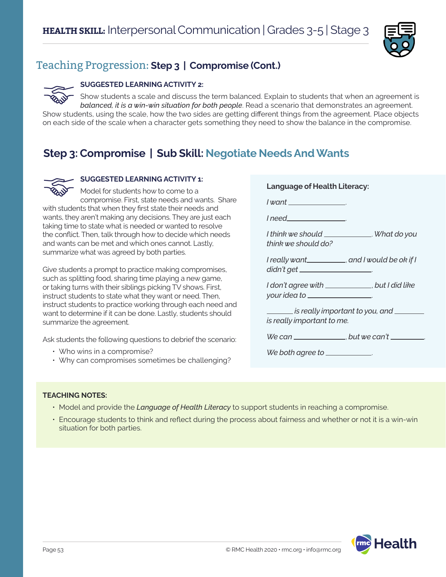

# Teaching Progression: **Step 3 | Compromise (Cont.)**

## **SUGGESTED LEARNING ACTIVITY 2:**

Show students a scale and discuss the term balanced. Explain to students that when an agreement is *balanced, it is a win-win situation for both people*. Read a scenario that demonstrates an agreement. Show students, using the scale, how the two sides are getting different things from the agreement. Place objects on each side of the scale when a character gets something they need to show the balance in the compromise.

# **Step 3: Compromise | Sub Skill: Negotiate Needs And Wants**



## **SUGGESTED LEARNING ACTIVITY 1:**

Model for students how to come to a compromise. First, state needs and wants. Share with students that when they first state their needs and wants, they aren't making any decisions. They are just each

taking time to state what is needed or wanted to resolve the conflict. Then, talk through how to decide which needs and wants can be met and which ones cannot. Lastly, summarize what was agreed by both parties.

Give students a prompt to practice making compromises, such as splitting food, sharing time playing a new game, or taking turns with their siblings picking TV shows. First, instruct students to state what they want or need. Then, instruct students to practice working through each need and want to determine if it can be done. Lastly, students should summarize the agreement.

Ask students the following questions to debrief the scenario:

- Who wins in a compromise?
- Why can compromises sometimes be challenging?

| <b>Language of Health Literacy:</b>                                                           |  |
|-----------------------------------------------------------------------------------------------|--|
| <u>  want ________________</u>                                                                |  |
| <u>  need___________________</u>                                                              |  |
| I think we should ______________. What do you<br>think we should do?                          |  |
| I really want___________, and I would be ok if I<br>didn't get _____________________          |  |
| I don't agree with ____________, but I did like<br>your idea to _________________             |  |
| ________ is really important to you, and ________<br>is really important to me.               |  |
| We can $\frac{1}{\sqrt{1-\frac{1}{2}}}\int$ but we can't $\frac{1}{\sqrt{1-\frac{1}{2}}}\int$ |  |
| We both agree to ____________                                                                 |  |

## **TEACHING NOTES:**

- Model and provide the *Language of Health Literacy* to support students in reaching a compromise.
- Encourage students to think and reflect during the process about fairness and whether or not it is a win-win situation for both parties.